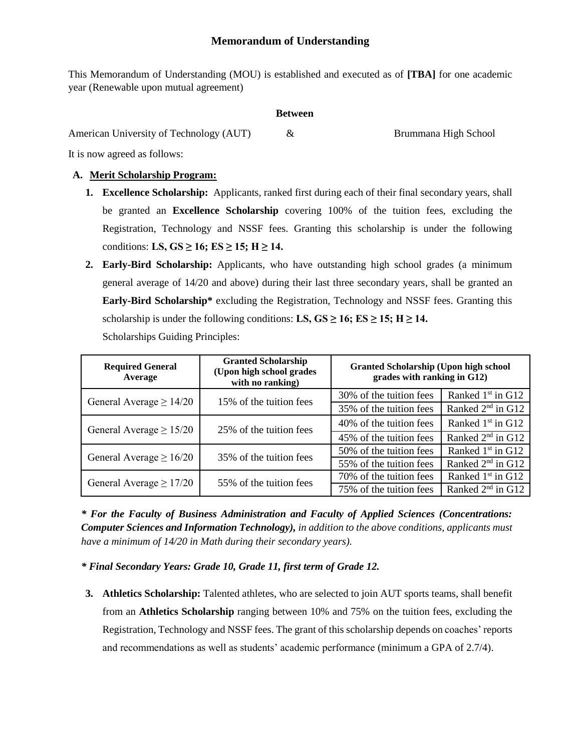This Memorandum of Understanding (MOU) is established and executed as of **[TBA]** for one academic year (Renewable upon mutual agreement)

#### **Between**

American University of Technology (AUT)  $\&$  Brummana High School

It is now agreed as follows:

## **A. Merit Scholarship Program:**

- **1. Excellence Scholarship:** Applicants, ranked first during each of their final secondary years, shall be granted an **Excellence Scholarship** covering 100% of the tuition fees, excluding the Registration, Technology and NSSF fees. Granting this scholarship is under the following conditions: **LS, GS**  $\geq$  16; **ES**  $\geq$  15; **H** $\geq$  14.
- **2. Early-Bird Scholarship:** Applicants, who have outstanding high school grades (a minimum general average of 14/20 and above) during their last three secondary years, shall be granted an **Early-Bird Scholarship\*** excluding the Registration, Technology and NSSF fees. Granting this scholarship is under the following conditions: **LS,**  $GS \ge 16$ **;**  $ES \ge 15$ **;**  $H \ge 14$ **.** Scholarships Guiding Principles:

| <b>Required General</b><br>Average | <b>Granted Scholarship</b><br>(Upon high school grades<br>with no ranking) | <b>Granted Scholarship (Upon high school</b><br>grades with ranking in G12) |                               |
|------------------------------------|----------------------------------------------------------------------------|-----------------------------------------------------------------------------|-------------------------------|
| General Average $\geq 14/20$       | 15% of the tuition fees                                                    | 30% of the tuition fees                                                     | Ranked 1 <sup>st</sup> in G12 |
|                                    |                                                                            | 35% of the tuition fees                                                     | Ranked 2 <sup>nd</sup> in G12 |
| General Average $\geq 15/20$       | 25% of the tuition fees                                                    | 40% of the tuition fees                                                     | Ranked 1 <sup>st</sup> in G12 |
|                                    |                                                                            | 45% of the tuition fees                                                     | Ranked 2 <sup>nd</sup> in G12 |
| General Average $\geq 16/20$       | 35% of the tuition fees                                                    | 50% of the tuition fees                                                     | Ranked 1 <sup>st</sup> in G12 |
|                                    |                                                                            | 55% of the tuition fees                                                     | Ranked 2 <sup>nd</sup> in G12 |
| General Average $\geq 17/20$       | 55% of the tuition fees                                                    | 70% of the tuition fees                                                     | Ranked 1 <sup>st</sup> in G12 |
|                                    |                                                                            | 75% of the tuition fees                                                     | Ranked 2 <sup>nd</sup> in G12 |

*\* For the Faculty of Business Administration and Faculty of Applied Sciences (Concentrations: Computer Sciences and Information Technology), in addition to the above conditions, applicants must have a minimum of 14/20 in Math during their secondary years).*

*\* Final Secondary Years: Grade 10, Grade 11, first term of Grade 12.*

**3. Athletics Scholarship:** Talented athletes, who are selected to join AUT sports teams, shall benefit from an **Athletics Scholarship** ranging between 10% and 75% on the tuition fees, excluding the Registration, Technology and NSSF fees. The grant of this scholarship depends on coaches' reports and recommendations as well as students' academic performance (minimum a GPA of 2.7/4).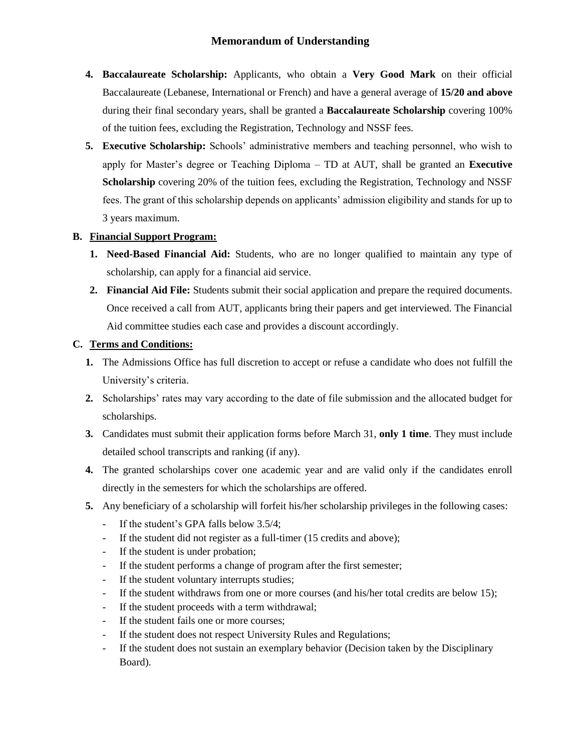# **Memorandum of Understanding**

- **4. Baccalaureate Scholarship:** Applicants, who obtain a **Very Good Mark** on their official Baccalaureate (Lebanese, International or French) and have a general average of **15/20 and above**  during their final secondary years, shall be granted a **Baccalaureate Scholarship** covering 100% of the tuition fees, excluding the Registration, Technology and NSSF fees.
- **5. Executive Scholarship:** Schools' administrative members and teaching personnel, who wish to apply for Master's degree or Teaching Diploma – TD at AUT, shall be granted an **Executive**  Scholarship covering 20% of the tuition fees, excluding the Registration, Technology and NSSF fees. The grant of this scholarship depends on applicants' admission eligibility and stands for up to 3 years maximum.

### **B. Financial Support Program:**

- **1. Need-Based Financial Aid:** Students, who are no longer qualified to maintain any type of scholarship, can apply for a financial aid service.
- **2. Financial Aid File:** Students submit their social application and prepare the required documents. Once received a call from AUT, applicants bring their papers and get interviewed. The Financial Aid committee studies each case and provides a discount accordingly.

## **C. Terms and Conditions:**

- **1.** The Admissions Office has full discretion to accept or refuse a candidate who does not fulfill the University's criteria.
- **2.** Scholarships' rates may vary according to the date of file submission and the allocated budget for scholarships.
- **3.** Candidates must submit their application forms before March 31, **only 1 time**. They must include detailed school transcripts and ranking (if any).
- **4.** The granted scholarships cover one academic year and are valid only if the candidates enroll directly in the semesters for which the scholarships are offered.
- **5.** Any beneficiary of a scholarship will forfeit his/her scholarship privileges in the following cases:
	- If the student's GPA falls below 3.5/4;
	- If the student did not register as a full-timer (15 credits and above);
	- If the student is under probation;
	- If the student performs a change of program after the first semester;
	- If the student voluntary interrupts studies;
	- If the student withdraws from one or more courses (and his/her total credits are below 15);
	- If the student proceeds with a term withdrawal;
	- If the student fails one or more courses;
	- If the student does not respect University Rules and Regulations;
	- If the student does not sustain an exemplary behavior (Decision taken by the Disciplinary Board).